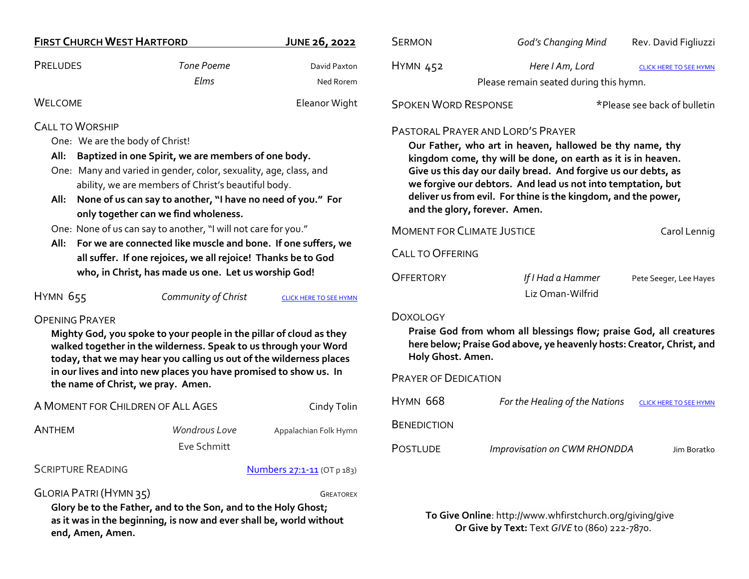| <b>FIRST CHURCH WEST HARTFORD</b>                                                                                                                                                                                                                                                                                                                                |                                                                             | JUNE 26, 2022                 | <b>SERMON</b>                                                                                                                                                                                                                                                                                                                                                                                             | God's Changing Mind                                       | Rev. David Figliuzzi          |
|------------------------------------------------------------------------------------------------------------------------------------------------------------------------------------------------------------------------------------------------------------------------------------------------------------------------------------------------------------------|-----------------------------------------------------------------------------|-------------------------------|-----------------------------------------------------------------------------------------------------------------------------------------------------------------------------------------------------------------------------------------------------------------------------------------------------------------------------------------------------------------------------------------------------------|-----------------------------------------------------------|-------------------------------|
| <b>PRELUDES</b>                                                                                                                                                                                                                                                                                                                                                  | <b>Tone Poeme</b><br>Elms                                                   | David Paxton<br>Ned Rorem     | <b>HYMN 452</b>                                                                                                                                                                                                                                                                                                                                                                                           | Here I Am, Lord<br>Please remain seated during this hymn. | <b>CLICK HERE TO SEE HYMN</b> |
| <b>WELCOME</b>                                                                                                                                                                                                                                                                                                                                                   |                                                                             | Eleanor Wight                 | <b>SPOKEN WORD RESPONSE</b>                                                                                                                                                                                                                                                                                                                                                                               |                                                           | *Please see back of bulletin  |
| <b>CALL TO WORSHIP</b><br>One: We are the body of Christ!<br>Baptized in one Spirit, we are members of one body.<br>All:<br>One: Many and varied in gender, color, sexuality, age, class, and<br>ability, we are members of Christ's beautiful body.<br>All: None of us can say to another, "I have no need of you." For<br>only together can we find wholeness. |                                                                             |                               | <b>PASTORAL PRAYER AND LORD'S PRAYER</b><br>Our Father, who art in heaven, hallowed be thy name, thy<br>kingdom come, thy will be done, on earth as it is in heaven.<br>Give us this day our daily bread. And forgive us our debts, as<br>we forgive our debtors. And lead us not into temptation, but<br>deliver us from evil. For thine is the kingdom, and the power,<br>and the glory, forever. Amen. |                                                           |                               |
| One: None of us can say to another, "I will not care for you."<br>All: For we are connected like muscle and bone. If one suffers, we<br>all suffer. If one rejoices, we all rejoice! Thanks be to God                                                                                                                                                            |                                                                             |                               | <b>MOMENT FOR CLIMATE JUSTICE</b><br>Carol Lennig<br><b>CALL TO OFFERING</b>                                                                                                                                                                                                                                                                                                                              |                                                           |                               |
| HYMN 655                                                                                                                                                                                                                                                                                                                                                         | who, in Christ, has made us one. Let us worship God!<br>Community of Christ | <b>CLICK HERE TO SEE HYMN</b> | <b>OFFERTORY</b>                                                                                                                                                                                                                                                                                                                                                                                          | If I Had a Hammer<br>Liz Oman-Wilfrid                     | Pete Seeger, Lee Hayes        |
| <b>OPENING PRAYER</b><br>Mighty God, you spoke to your people in the pillar of cloud as they<br>walked together in the wilderness. Speak to us through your Word<br>today, that we may hear you calling us out of the wilderness places<br>in our lives and into new places you have promised to show us. In<br>the name of Christ, we pray. Amen.               |                                                                             |                               | <b>DOXOLOGY</b><br>Praise God from whom all blessings flow; praise God, all creatures<br>here below; Praise God above, ye heavenly hosts: Creator, Christ, and<br>Holy Ghost. Amen.                                                                                                                                                                                                                       |                                                           |                               |
|                                                                                                                                                                                                                                                                                                                                                                  |                                                                             |                               | <b>PRAYER OF DEDICATION</b>                                                                                                                                                                                                                                                                                                                                                                               |                                                           |                               |
| A MOMENT FOR CHILDREN OF ALL AGES                                                                                                                                                                                                                                                                                                                                |                                                                             | Cindy Tolin                   | <b>HYMN 668</b>                                                                                                                                                                                                                                                                                                                                                                                           | For the Healing of the Nations                            | <b>CLICK HERE TO SEE HYMN</b> |
| <b>ANTHEM</b>                                                                                                                                                                                                                                                                                                                                                    | Wondrous Love<br>Eve Schmitt                                                | Appalachian Folk Hymn         | <b>BENEDICTION</b><br><b>POSTLUDE</b>                                                                                                                                                                                                                                                                                                                                                                     | Improvisation on CWM RHONDDA                              | Jim Boratko                   |
| <b>SCRIPTURE READING</b><br>Numbers 27:1-11 (OT p 183)                                                                                                                                                                                                                                                                                                           |                                                                             |                               |                                                                                                                                                                                                                                                                                                                                                                                                           |                                                           |                               |
| GLORIA PATRI (HYMN 35)<br><b>GREATOREX</b><br>Glory he to the Eather, and to the Son, and to the Holy Ghost.                                                                                                                                                                                                                                                     |                                                                             |                               |                                                                                                                                                                                                                                                                                                                                                                                                           |                                                           |                               |

**Glory be to the Father, and to the Son, and to the Holy Ghost; as it was in the beginning, is now and ever shall be, world without end, Amen, Amen.**

**To Give Online**: http://www.whfirstchurch.org/giving/give **Or Give by Text:** Text *GIVE* to (860) 222-7870.